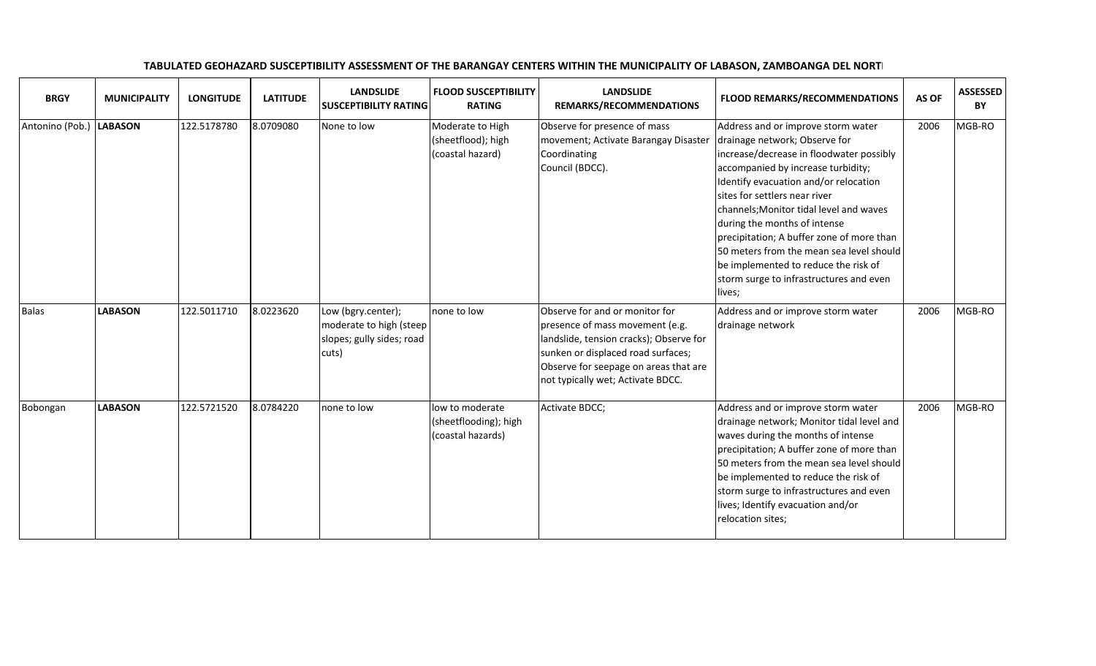| <b>BRGY</b>             | <b>MUNICIPALITY</b> | <b>LONGITUDE</b> | <b>LATITUDE</b> | <b>LANDSLIDE</b><br><b>SUSCEPTIBILITY RATING</b>                                    | <b>FLOOD SUSCEPTIBILITY</b><br><b>RATING</b>                  | <b>LANDSLIDE</b><br>REMARKS/RECOMMENDATIONS                                                                                                                                                                                      | <b>FLOOD REMARKS/RECOMMENDATIONS</b>                                                                                                                                                                                                                                                                                                                                                                                                                                                             | AS OF | <b>ASSESSED</b><br>BY |
|-------------------------|---------------------|------------------|-----------------|-------------------------------------------------------------------------------------|---------------------------------------------------------------|----------------------------------------------------------------------------------------------------------------------------------------------------------------------------------------------------------------------------------|--------------------------------------------------------------------------------------------------------------------------------------------------------------------------------------------------------------------------------------------------------------------------------------------------------------------------------------------------------------------------------------------------------------------------------------------------------------------------------------------------|-------|-----------------------|
| Antonino (Pob.) LABASON |                     | 122.5178780      | 8.0709080       | None to low                                                                         | Moderate to High<br>(sheetflood); high<br>(coastal hazard)    | Observe for presence of mass<br>movement; Activate Barangay Disaster<br>Coordinating<br>Council (BDCC).                                                                                                                          | Address and or improve storm water<br>drainage network; Observe for<br>increase/decrease in floodwater possibly<br>accompanied by increase turbidity;<br>Identify evacuation and/or relocation<br>sites for settlers near river<br>channels; Monitor tidal level and waves<br>during the months of intense<br>precipitation; A buffer zone of more than<br>50 meters from the mean sea level should<br>be implemented to reduce the risk of<br>storm surge to infrastructures and even<br>lives; | 2006  | MGB-RO                |
| <b>Balas</b>            | <b>LABASON</b>      | 122.5011710      | 8.0223620       | Low (bgry.center);<br>moderate to high (steep<br>slopes; gully sides; road<br>cuts) | none to low                                                   | Observe for and or monitor for<br>presence of mass movement (e.g.<br>landslide, tension cracks); Observe for<br>sunken or displaced road surfaces;<br>Observe for seepage on areas that are<br>not typically wet; Activate BDCC. | Address and or improve storm water<br>drainage network                                                                                                                                                                                                                                                                                                                                                                                                                                           | 2006  | MGB-RO                |
| Bobongan                | <b>LABASON</b>      | 122.5721520      | 8.0784220       | none to low                                                                         | low to moderate<br>(sheetflooding); high<br>(coastal hazards) | Activate BDCC;                                                                                                                                                                                                                   | Address and or improve storm water<br>drainage network; Monitor tidal level and<br>waves during the months of intense<br>precipitation; A buffer zone of more than<br>50 meters from the mean sea level should<br>be implemented to reduce the risk of<br>storm surge to infrastructures and even<br>lives; Identify evacuation and/or<br>relocation sites;                                                                                                                                      | 2006  | MGB-RO                |

## TABULATED GEOHAZARD SUSCEPTIBILITY ASSESSMENT OF THE BARANGAY CENTERS WITHIN THE MUNICIPALITY OF LABASON, ZAMBOANGA DEL NORTI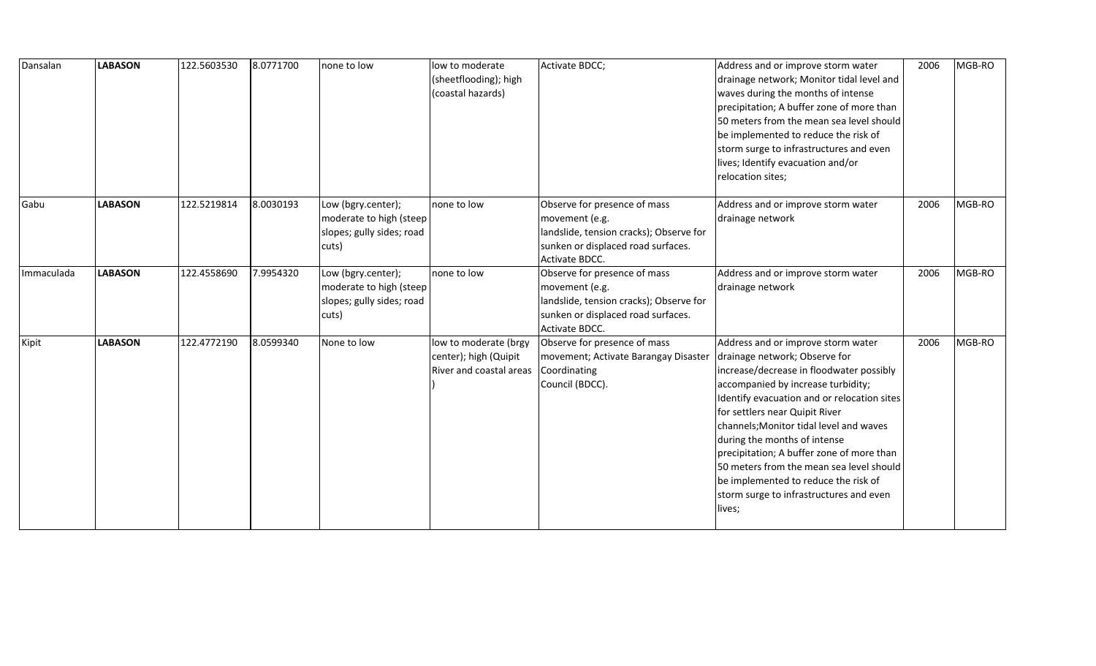| Dansalan   | <b>LABASON</b> | 122.5603530 | 8.0771700 | none to low                                                                         | low to moderate<br>(sheetflooding); high<br>(coastal hazards)             | Activate BDCC;                                                                                                                                    | Address and or improve storm water<br>drainage network; Monitor tidal level and<br>waves during the months of intense<br>precipitation; A buffer zone of more than<br>50 meters from the mean sea level should<br>be implemented to reduce the risk of<br>storm surge to infrastructures and even<br>lives; Identify evacuation and/or<br>relocation sites;                                                                                                                                             | 2006 | MGB-RO |
|------------|----------------|-------------|-----------|-------------------------------------------------------------------------------------|---------------------------------------------------------------------------|---------------------------------------------------------------------------------------------------------------------------------------------------|---------------------------------------------------------------------------------------------------------------------------------------------------------------------------------------------------------------------------------------------------------------------------------------------------------------------------------------------------------------------------------------------------------------------------------------------------------------------------------------------------------|------|--------|
| Gabu       | <b>LABASON</b> | 122.5219814 | 8.0030193 | Low (bgry.center);<br>moderate to high (steep<br>slopes; gully sides; road<br>cuts) | none to low                                                               | Observe for presence of mass<br>movement (e.g.<br>landslide, tension cracks); Observe for<br>sunken or displaced road surfaces.<br>Activate BDCC. | Address and or improve storm water<br>drainage network                                                                                                                                                                                                                                                                                                                                                                                                                                                  | 2006 | MGB-RO |
| Immaculada | <b>LABASON</b> | 122.4558690 | 7.9954320 | Low (bgry.center);<br>moderate to high (steep<br>slopes; gully sides; road<br>cuts) | none to low                                                               | Observe for presence of mass<br>movement (e.g.<br>landslide, tension cracks); Observe for<br>sunken or displaced road surfaces.<br>Activate BDCC. | Address and or improve storm water<br>drainage network                                                                                                                                                                                                                                                                                                                                                                                                                                                  | 2006 | MGB-RO |
| Kipit      | <b>LABASON</b> | 122.4772190 | 8.0599340 | None to low                                                                         | low to moderate (brgy<br>center); high (Quipit<br>River and coastal areas | Observe for presence of mass<br>movement; Activate Barangay Disaster<br>Coordinating<br>Council (BDCC).                                           | Address and or improve storm water<br>drainage network; Observe for<br>increase/decrease in floodwater possibly<br>accompanied by increase turbidity;<br>Identify evacuation and or relocation sites<br>for settlers near Quipit River<br>channels; Monitor tidal level and waves<br>during the months of intense<br>precipitation; A buffer zone of more than<br>50 meters from the mean sea level should<br>be implemented to reduce the risk of<br>storm surge to infrastructures and even<br>lives; | 2006 | MGB-RO |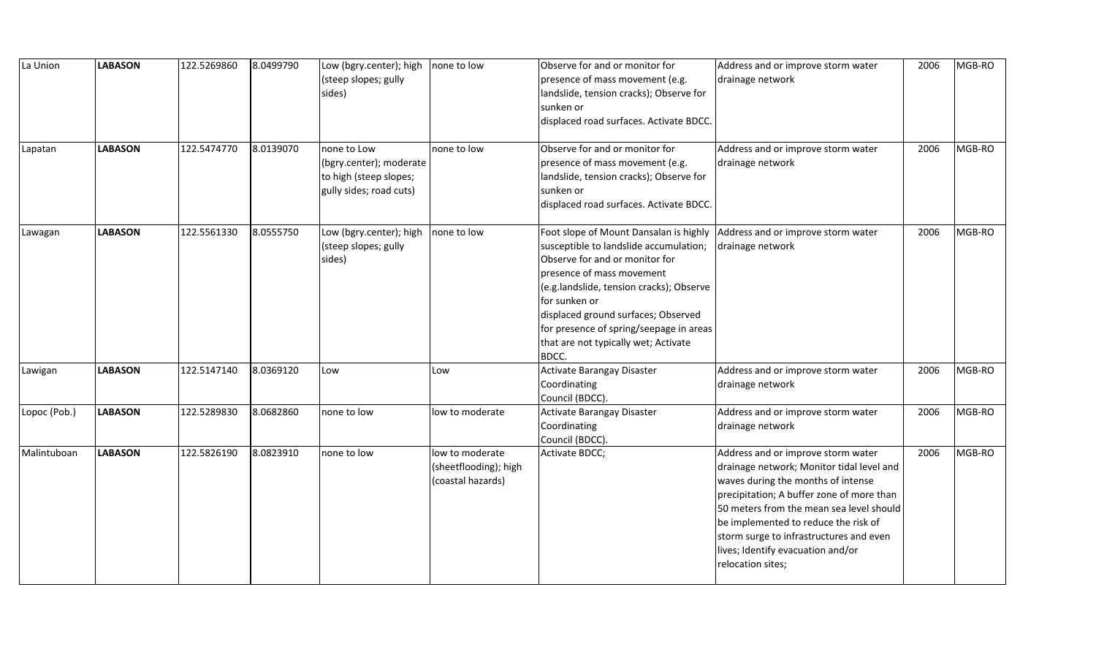| La Union     | <b>LABASON</b> | 122.5269860 | 8.0499790 | Low (bgry.center); high<br>(steep slopes; gully<br>sides)                                   | none to low                                                   | Observe for and or monitor for<br>presence of mass movement (e.g.<br>landslide, tension cracks); Observe for<br>sunken or<br>displaced road surfaces. Activate BDCC.                                                                                                                                                                            | Address and or improve storm water<br>drainage network                                                                                                                                                                                                                                                                                                      | 2006 | MGB-RO |
|--------------|----------------|-------------|-----------|---------------------------------------------------------------------------------------------|---------------------------------------------------------------|-------------------------------------------------------------------------------------------------------------------------------------------------------------------------------------------------------------------------------------------------------------------------------------------------------------------------------------------------|-------------------------------------------------------------------------------------------------------------------------------------------------------------------------------------------------------------------------------------------------------------------------------------------------------------------------------------------------------------|------|--------|
| Lapatan      | <b>LABASON</b> | 122.5474770 | 8.0139070 | none to Low<br>(bgry.center); moderate<br>to high (steep slopes;<br>gully sides; road cuts) | none to low                                                   | Observe for and or monitor for<br>presence of mass movement (e.g.<br>landslide, tension cracks); Observe for<br>sunken or<br>displaced road surfaces. Activate BDCC.                                                                                                                                                                            | Address and or improve storm water<br>drainage network                                                                                                                                                                                                                                                                                                      | 2006 | MGB-RO |
| Lawagan      | <b>LABASON</b> | 122.5561330 | 8.0555750 | Low (bgry.center); high<br>(steep slopes; gully<br>sides)                                   | none to low                                                   | Foot slope of Mount Dansalan is highly<br>susceptible to landslide accumulation;<br>Observe for and or monitor for<br>presence of mass movement<br>(e.g.landslide, tension cracks); Observe<br>for sunken or<br>displaced ground surfaces; Observed<br>for presence of spring/seepage in areas<br>that are not typically wet; Activate<br>BDCC. | Address and or improve storm water<br>drainage network                                                                                                                                                                                                                                                                                                      | 2006 | MGB-RO |
| Lawigan      | <b>LABASON</b> | 122.5147140 | 8.0369120 | Low                                                                                         | Low                                                           | Activate Barangay Disaster<br>Coordinating<br>Council (BDCC).                                                                                                                                                                                                                                                                                   | Address and or improve storm water<br>drainage network                                                                                                                                                                                                                                                                                                      | 2006 | MGB-RO |
| Lopoc (Pob.) | <b>LABASON</b> | 122.5289830 | 8.0682860 | none to low                                                                                 | low to moderate                                               | Activate Barangay Disaster<br>Coordinating<br>Council (BDCC).                                                                                                                                                                                                                                                                                   | Address and or improve storm water<br>drainage network                                                                                                                                                                                                                                                                                                      | 2006 | MGB-RO |
| Malintuboan  | <b>LABASON</b> | 122.5826190 | 8.0823910 | none to low                                                                                 | low to moderate<br>(sheetflooding); high<br>(coastal hazards) | Activate BDCC;                                                                                                                                                                                                                                                                                                                                  | Address and or improve storm water<br>drainage network; Monitor tidal level and<br>waves during the months of intense<br>precipitation; A buffer zone of more than<br>50 meters from the mean sea level should<br>be implemented to reduce the risk of<br>storm surge to infrastructures and even<br>lives; Identify evacuation and/or<br>relocation sites; | 2006 | MGB-RO |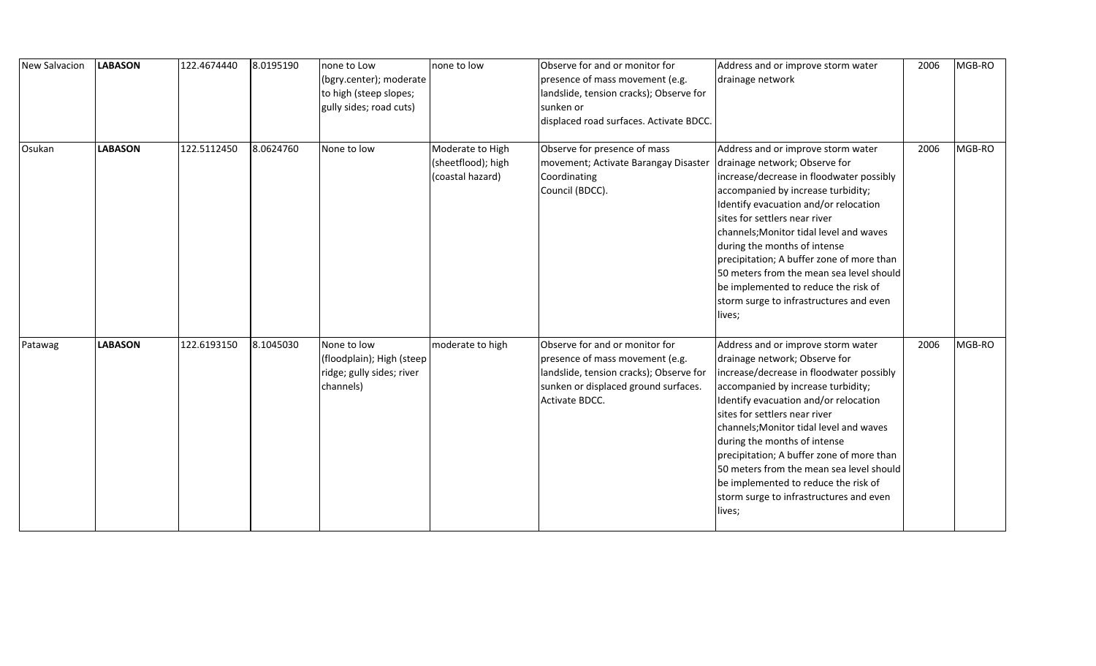| <b>New Salvacion</b> | <b>LABASON</b> | 122.4674440 | 8.0195190 | none to Low<br>(bgry.center); moderate<br>to high (steep slopes;<br>gully sides; road cuts) | none to low                                                | Observe for and or monitor for<br>presence of mass movement (e.g.<br>landslide, tension cracks); Observe for<br>sunken or<br>displaced road surfaces. Activate BDCC.   | Address and or improve storm water<br>drainage network                                                                                                                                                                                                                                                                                                                                                                                                                                           | 2006 | MGB-RO |
|----------------------|----------------|-------------|-----------|---------------------------------------------------------------------------------------------|------------------------------------------------------------|------------------------------------------------------------------------------------------------------------------------------------------------------------------------|--------------------------------------------------------------------------------------------------------------------------------------------------------------------------------------------------------------------------------------------------------------------------------------------------------------------------------------------------------------------------------------------------------------------------------------------------------------------------------------------------|------|--------|
| Osukan               | <b>LABASON</b> | 122.5112450 | 8.0624760 | None to low                                                                                 | Moderate to High<br>(sheetflood); high<br>(coastal hazard) | Observe for presence of mass<br>movement; Activate Barangay Disaster<br>Coordinating<br>Council (BDCC).                                                                | Address and or improve storm water<br>drainage network; Observe for<br>increase/decrease in floodwater possibly<br>accompanied by increase turbidity;<br>Identify evacuation and/or relocation<br>sites for settlers near river<br>channels; Monitor tidal level and waves<br>during the months of intense<br>precipitation; A buffer zone of more than<br>50 meters from the mean sea level should<br>be implemented to reduce the risk of<br>storm surge to infrastructures and even<br>lives; | 2006 | MGB-RO |
| Patawag              | <b>LABASON</b> | 122.6193150 | 8.1045030 | None to low<br>(floodplain); High (steep<br>ridge; gully sides; river<br>channels)          | moderate to high                                           | Observe for and or monitor for<br>presence of mass movement (e.g.<br>landslide, tension cracks); Observe for<br>sunken or displaced ground surfaces.<br>Activate BDCC. | Address and or improve storm water<br>drainage network; Observe for<br>increase/decrease in floodwater possibly<br>accompanied by increase turbidity;<br>Identify evacuation and/or relocation<br>sites for settlers near river<br>channels; Monitor tidal level and waves<br>during the months of intense<br>precipitation; A buffer zone of more than<br>50 meters from the mean sea level should<br>be implemented to reduce the risk of<br>storm surge to infrastructures and even<br>lives; | 2006 | MGB-RO |